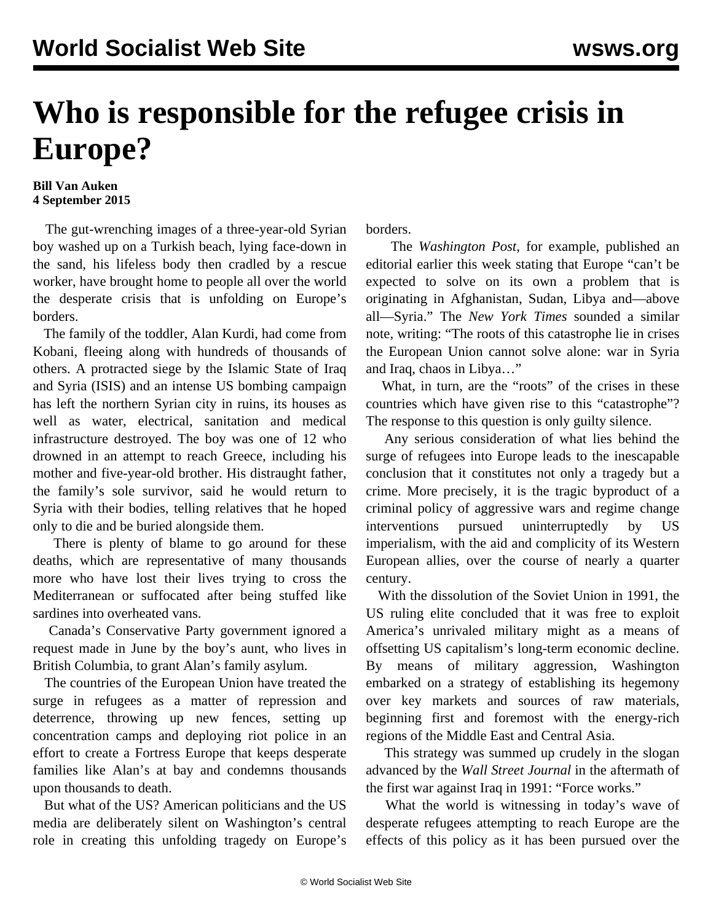## **Who is responsible for the refugee crisis in Europe?**

## **Bill Van Auken 4 September 2015**

 The gut-wrenching images of a three-year-old Syrian boy washed up on a Turkish beach, lying face-down in the sand, his lifeless body then cradled by a rescue worker, have brought home to people all over the world the desperate crisis that is unfolding on Europe's borders.

 The family of the toddler, Alan Kurdi, had come from Kobani, fleeing along with hundreds of thousands of others. A protracted siege by the Islamic State of Iraq and Syria (ISIS) and an intense US bombing campaign has left the northern Syrian city in ruins, its houses as well as water, electrical, sanitation and medical infrastructure destroyed. The boy was one of 12 who drowned in an attempt to reach Greece, including his mother and five-year-old brother. His distraught father, the family's sole survivor, said he would return to Syria with their bodies, telling relatives that he hoped only to die and be buried alongside them.

 There is plenty of blame to go around for these deaths, which are representative of many thousands more who have lost their lives trying to cross the Mediterranean or suffocated after being stuffed like sardines into overheated vans.

 Canada's Conservative Party government ignored a request made in June by the boy's aunt, who lives in British Columbia, to grant Alan's family asylum.

 The countries of the European Union have treated the surge in refugees as a matter of repression and deterrence, throwing up new fences, setting up concentration camps and deploying riot police in an effort to create a Fortress Europe that keeps desperate families like Alan's at bay and condemns thousands upon thousands to death.

 But what of the US? American politicians and the US media are deliberately silent on Washington's central role in creating this unfolding tragedy on Europe's borders.

 The *Washington Post*, for example, published an editorial earlier this week stating that Europe "can't be expected to solve on its own a problem that is originating in Afghanistan, Sudan, Libya and—above all—Syria." The *New York Times* sounded a similar note, writing: "The roots of this catastrophe lie in crises the European Union cannot solve alone: war in Syria and Iraq, chaos in Libya…"

 What, in turn, are the "roots" of the crises in these countries which have given rise to this "catastrophe"? The response to this question is only guilty silence.

 Any serious consideration of what lies behind the surge of refugees into Europe leads to the inescapable conclusion that it constitutes not only a tragedy but a crime. More precisely, it is the tragic byproduct of a criminal policy of aggressive wars and regime change interventions pursued uninterruptedly by US imperialism, with the aid and complicity of its Western European allies, over the course of nearly a quarter century.

 With the dissolution of the Soviet Union in 1991, the US ruling elite concluded that it was free to exploit America's unrivaled military might as a means of offsetting US capitalism's long-term economic decline. By means of military aggression, Washington embarked on a strategy of establishing its hegemony over key markets and sources of raw materials, beginning first and foremost with the energy-rich regions of the Middle East and Central Asia.

 This strategy was summed up crudely in the slogan advanced by the *Wall Street Journal* in the aftermath of the first war against Iraq in 1991: "Force works."

 What the world is witnessing in today's wave of desperate refugees attempting to reach Europe are the effects of this policy as it has been pursued over the